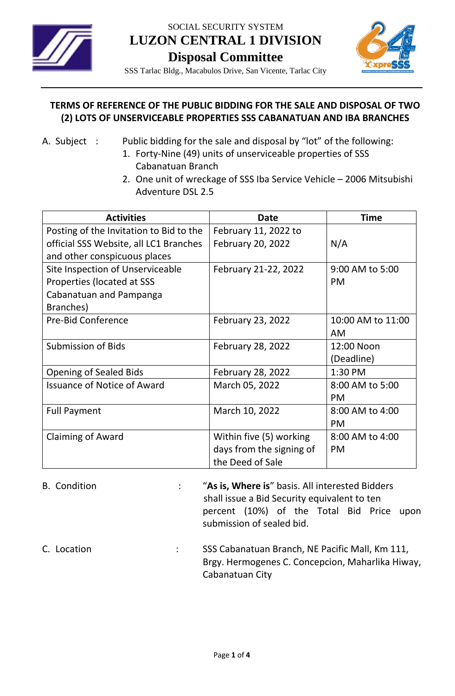

SOCIAL SECURITY SYSTEM **LUZON CENTRAL 1 DIVISION Disposal Committee**



SSS Tarlac Bldg., Macabulos Drive, San Vicente, Tarlac City

## **TERMS OF REFERENCE OF THE PUBLIC BIDDING FOR THE SALE AND DISPOSAL OF TWO (2) LOTS OF UNSERVICEABLE PROPERTIES SSS CABANATUAN AND IBA BRANCHES**

- A. Subject : Public bidding for the sale and disposal by "lot" of the following:
	- 1. Forty-Nine (49) units of unserviceable properties of SSS Cabanatuan Branch
	- 2. One unit of wreckage of SSS Iba Service Vehicle 2006 Mitsubishi Adventure DSL 2.5

| <b>Activities</b>                       | <b>Date</b>              | <b>Time</b>       |
|-----------------------------------------|--------------------------|-------------------|
| Posting of the Invitation to Bid to the | February 11, 2022 to     |                   |
| official SSS Website, all LC1 Branches  | February 20, 2022        | N/A               |
| and other conspicuous places            |                          |                   |
| Site Inspection of Unserviceable        | February 21-22, 2022     | 9:00 AM to 5:00   |
| Properties (located at SSS              |                          | <b>PM</b>         |
| Cabanatuan and Pampanga                 |                          |                   |
| Branches)                               |                          |                   |
| <b>Pre-Bid Conference</b>               | February 23, 2022        | 10:00 AM to 11:00 |
|                                         |                          | <b>AM</b>         |
| <b>Submission of Bids</b>               | <b>February 28, 2022</b> | 12:00 Noon        |
|                                         |                          | (Deadline)        |
| <b>Opening of Sealed Bids</b>           | <b>February 28, 2022</b> | 1:30 PM           |
| <b>Issuance of Notice of Award</b>      | March 05, 2022           | 8:00 AM to 5:00   |
|                                         |                          | <b>PM</b>         |
| <b>Full Payment</b>                     | March 10, 2022           | 8:00 AM to 4:00   |
|                                         |                          | <b>PM</b>         |
| <b>Claiming of Award</b>                | Within five (5) working  | 8:00 AM to 4:00   |
|                                         | days from the signing of | <b>PM</b>         |
|                                         | the Deed of Sale         |                   |
|                                         |                          |                   |

- B. Condition : "**As is, Where is**" basis. All interested Bidders shall issue a Bid Security equivalent to ten percent (10%) of the Total Bid Price upon submission of sealed bid.
- C. Location : SSS Cabanatuan Branch, NE Pacific Mall, Km 111, Brgy. Hermogenes C. Concepcion, Maharlika Hiway, Cabanatuan City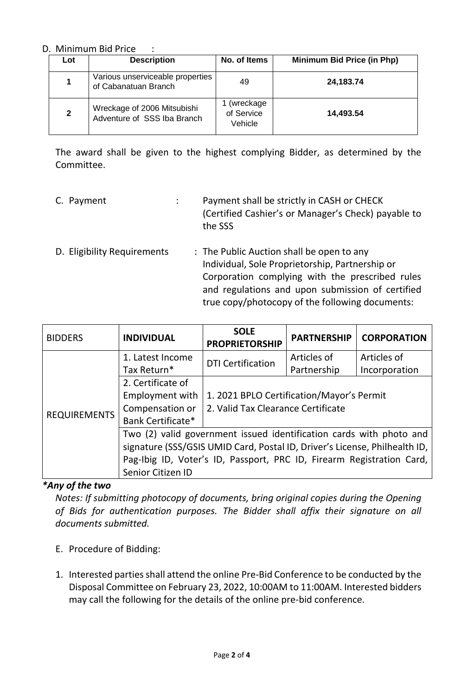## D. Minimum Bid Price :

| Lot              | <b>Description</b>                                         | No. of Items                       | Minimum Bid Price (in Php) |
|------------------|------------------------------------------------------------|------------------------------------|----------------------------|
| 1                | Various unserviceable properties<br>of Cabanatuan Branch   | 49                                 | 24,183.74                  |
| $\boldsymbol{2}$ | Wreckage of 2006 Mitsubishi<br>Adventure of SSS Iba Branch | (wreckage<br>of Service<br>Vehicle | 14,493.54                  |

The award shall be given to the highest complying Bidder, as determined by the Committee.

- C. Payment : Payment shall be strictly in CASH or CHECK (Certified Cashier's or Manager's Check) payable to the SSS
- D. Eligibility Requirements : The Public Auction shall be open to any Individual, Sole Proprietorship, Partnership or Corporation complying with the prescribed rules and regulations and upon submission of certified true copy/photocopy of the following documents:

| <b>BIDDERS</b>      | <b>INDIVIDUAL</b>                                                          | <b>SOLE</b><br><b>PROPRIETORSHIP</b>      | <b>PARTNERSHIP</b> | <b>CORPORATION</b> |  |
|---------------------|----------------------------------------------------------------------------|-------------------------------------------|--------------------|--------------------|--|
| <b>REQUIREMENTS</b> | 1. Latest Income                                                           | <b>DTI Certification</b>                  | Articles of        | Articles of        |  |
|                     | Tax Return*                                                                |                                           | Partnership        | Incorporation      |  |
|                     | 2. Certificate of                                                          |                                           |                    |                    |  |
|                     | <b>Employment with</b>                                                     | 1. 2021 BPLO Certification/Mayor's Permit |                    |                    |  |
|                     | Compensation or                                                            | 2. Valid Tax Clearance Certificate        |                    |                    |  |
|                     | Bank Certificate*                                                          |                                           |                    |                    |  |
|                     | Two (2) valid government issued identification cards with photo and        |                                           |                    |                    |  |
|                     | signature (SSS/GSIS UMID Card, Postal ID, Driver's License, Philhealth ID, |                                           |                    |                    |  |
|                     | Pag-Ibig ID, Voter's ID, Passport, PRC ID, Firearm Registration Card,      |                                           |                    |                    |  |
|                     | Senior Citizen ID                                                          |                                           |                    |                    |  |

## *\*Any of the two*

*Notes: If submitting photocopy of documents, bring original copies during the Opening of Bids for authentication purposes. The Bidder shall affix their signature on all documents submitted.*

- E. Procedure of Bidding:
- 1. Interested parties shall attend the online Pre-Bid Conference to be conducted by the Disposal Committee on February 23, 2022, 10:00AM to 11:00AM. Interested bidders may call the following for the details of the online pre-bid conference.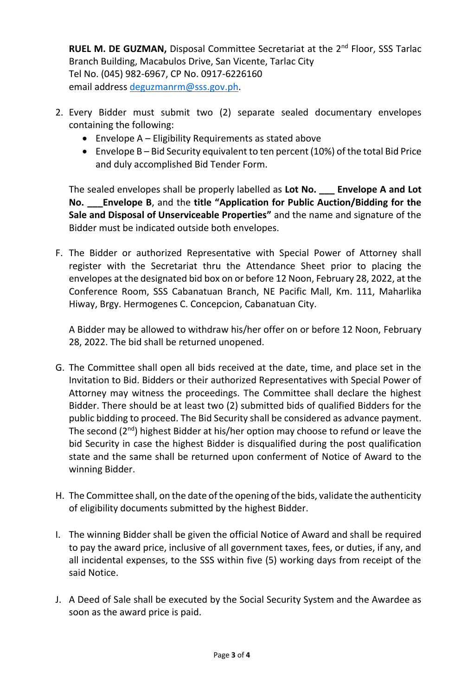**RUEL M. DE GUZMAN, Disposal Committee Secretariat at the 2<sup>nd</sup> Floor, SSS Tarlac** Branch Building, Macabulos Drive, San Vicente, Tarlac City Tel No. (045) 982-6967, CP No. 0917-6226160 email address [deguzmanrm@sss.gov.ph.](mailto:deguzmanrm@sss.gov.ph)

- 2. Every Bidder must submit two (2) separate sealed documentary envelopes containing the following:
	- Envelope A Eligibility Requirements as stated above
	- Envelope B Bid Security equivalent to ten percent (10%) of the total Bid Price and duly accomplished Bid Tender Form.

The sealed envelopes shall be properly labelled as **Lot No. \_\_\_ Envelope A and Lot No. \_\_\_Envelope B**, and the **title "Application for Public Auction/Bidding for the Sale and Disposal of Unserviceable Properties"** and the name and signature of the Bidder must be indicated outside both envelopes.

F. The Bidder or authorized Representative with Special Power of Attorney shall register with the Secretariat thru the Attendance Sheet prior to placing the envelopes at the designated bid box on or before 12 Noon, February 28, 2022, at the Conference Room, SSS Cabanatuan Branch, NE Pacific Mall, Km. 111, Maharlika Hiway, Brgy. Hermogenes C. Concepcion, Cabanatuan City.

A Bidder may be allowed to withdraw his/her offer on or before 12 Noon, February 28, 2022. The bid shall be returned unopened.

- G. The Committee shall open all bids received at the date, time, and place set in the Invitation to Bid. Bidders or their authorized Representatives with Special Power of Attorney may witness the proceedings. The Committee shall declare the highest Bidder. There should be at least two (2) submitted bids of qualified Bidders for the public bidding to proceed. The Bid Security shall be considered as advance payment. The second  $(2^{nd})$  highest Bidder at his/her option may choose to refund or leave the bid Security in case the highest Bidder is disqualified during the post qualification state and the same shall be returned upon conferment of Notice of Award to the winning Bidder.
- H. The Committee shall, on the date of the opening of the bids, validate the authenticity of eligibility documents submitted by the highest Bidder.
- I. The winning Bidder shall be given the official Notice of Award and shall be required to pay the award price, inclusive of all government taxes, fees, or duties, if any, and all incidental expenses, to the SSS within five (5) working days from receipt of the said Notice.
- J. A Deed of Sale shall be executed by the Social Security System and the Awardee as soon as the award price is paid.